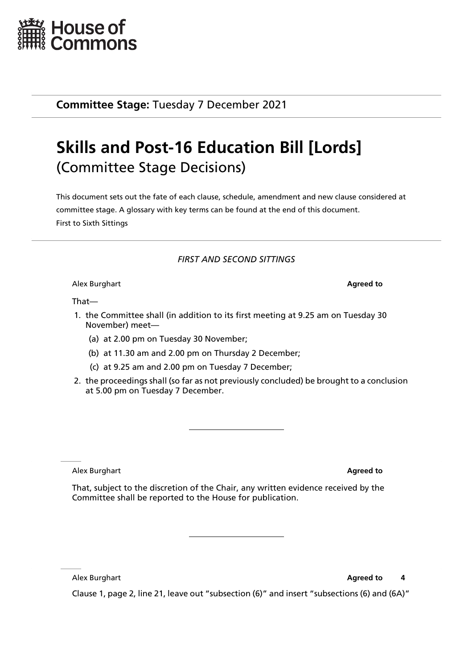

**Committee Stage:** Tuesday 7 December 2021

# **Skills and Post-16 Education Bill [Lords]** (Committee Stage Decisions)

This document sets out the fate of each clause, schedule, amendment and new clause considered at committee stage. A glossary with key terms can be found at the end of this document. First to Sixth Sittings

# *FIRST AND SECOND SITTINGS*

Alex Burghart **Agreed to**

That—

- 1. the Committee shall (in addition to its first meeting at 9.25 am on Tuesday 30 November) meet—
	- (a) at 2.00 pm on Tuesday 30 November;
	- (b) at 11.30 am and 2.00 pm on Thursday 2 December;
	- (c) at 9.25 am and 2.00 pm on Tuesday 7 December;
- 2. the proceedings shall (so far as not previously concluded) be brought to a conclusion at 5.00 pm on Tuesday 7 December.

Alex Burghart **Agreed to**

That, subject to the discretion of the Chair, any written evidence received by the Committee shall be reported to the House for publication.

Alex Burghart **Agreed to 4** 

Clause 1, page 2, line 21, leave out "subsection (6)" and insert "subsections (6) and (6A)"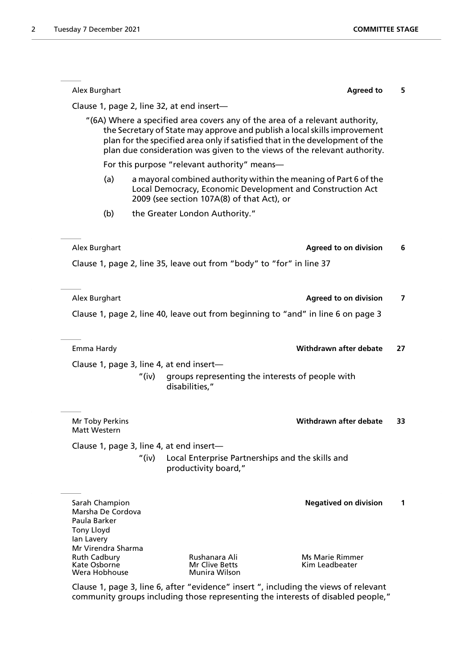|                                                                                        | <b>Agreed to</b>                                                                                                                                                                                                                                                                                                      | 5  |
|----------------------------------------------------------------------------------------|-----------------------------------------------------------------------------------------------------------------------------------------------------------------------------------------------------------------------------------------------------------------------------------------------------------------------|----|
|                                                                                        | Clause 1, page 2, line 32, at end insert-                                                                                                                                                                                                                                                                             |    |
|                                                                                        | "(6A) Where a specified area covers any of the area of a relevant authority,<br>the Secretary of State may approve and publish a local skills improvement<br>plan for the specified area only if satisfied that in the development of the<br>plan due consideration was given to the views of the relevant authority. |    |
|                                                                                        | For this purpose "relevant authority" means-                                                                                                                                                                                                                                                                          |    |
| (a)                                                                                    | a mayoral combined authority within the meaning of Part 6 of the<br>Local Democracy, Economic Development and Construction Act<br>2009 (see section 107A(8) of that Act), or                                                                                                                                          |    |
| (b)                                                                                    | the Greater London Authority."                                                                                                                                                                                                                                                                                        |    |
| Alex Burghart                                                                          | <b>Agreed to on division</b>                                                                                                                                                                                                                                                                                          | 6  |
|                                                                                        | Clause 1, page 2, line 35, leave out from "body" to "for" in line 37                                                                                                                                                                                                                                                  |    |
| Alex Burghart                                                                          | <b>Agreed to on division</b>                                                                                                                                                                                                                                                                                          | 7  |
|                                                                                        | Clause 1, page 2, line 40, leave out from beginning to "and" in line 6 on page 3                                                                                                                                                                                                                                      |    |
| Emma Hardy                                                                             | Withdrawn after debate                                                                                                                                                                                                                                                                                                | 27 |
|                                                                                        | Clause 1, page 3, line 4, at end insert-                                                                                                                                                                                                                                                                              |    |
|                                                                                        |                                                                                                                                                                                                                                                                                                                       |    |
|                                                                                        | "(iv)<br>groups representing the interests of people with<br>disabilities,"                                                                                                                                                                                                                                           |    |
|                                                                                        | Withdrawn after debate                                                                                                                                                                                                                                                                                                |    |
|                                                                                        |                                                                                                                                                                                                                                                                                                                       | 33 |
| Mr Toby Perkins<br>Matt Western                                                        | Clause 1, page 3, line 4, at end insert-<br>"(iv)<br>Local Enterprise Partnerships and the skills and<br>productivity board,"                                                                                                                                                                                         |    |
|                                                                                        |                                                                                                                                                                                                                                                                                                                       |    |
| Sarah Champion<br>Marsha De Cordova<br>Paula Barker<br><b>Tony Lloyd</b><br>lan Lavery | <b>Negatived on division</b>                                                                                                                                                                                                                                                                                          | 1  |

Clause 1, page 3, line 6, after "evidence" insert ", including the views of relevant community groups including those representing the interests of disabled people,"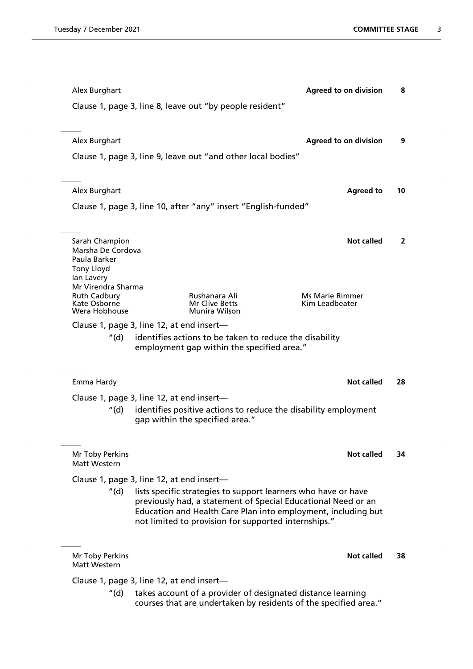| Alex Burghart                             |                                           |                                                                | <b>Agreed to on division</b>                                                                                                   | 8  |
|-------------------------------------------|-------------------------------------------|----------------------------------------------------------------|--------------------------------------------------------------------------------------------------------------------------------|----|
|                                           |                                           | Clause 1, page 3, line 8, leave out "by people resident"       |                                                                                                                                |    |
|                                           |                                           |                                                                |                                                                                                                                |    |
| Alex Burghart                             |                                           |                                                                | <b>Agreed to on division</b>                                                                                                   | 9  |
|                                           |                                           | Clause 1, page 3, line 9, leave out "and other local bodies"   |                                                                                                                                |    |
|                                           |                                           |                                                                |                                                                                                                                |    |
| Alex Burghart                             |                                           |                                                                | <b>Agreed to</b>                                                                                                               | 10 |
|                                           |                                           | Clause 1, page 3, line 10, after "any" insert "English-funded" |                                                                                                                                |    |
|                                           |                                           |                                                                |                                                                                                                                |    |
| Sarah Champion                            |                                           |                                                                | <b>Not called</b>                                                                                                              | 2  |
| Marsha De Cordova<br>Paula Barker         |                                           |                                                                |                                                                                                                                |    |
| <b>Tony Lloyd</b>                         |                                           |                                                                |                                                                                                                                |    |
| lan Lavery<br>Mr Virendra Sharma          |                                           |                                                                |                                                                                                                                |    |
| <b>Ruth Cadbury</b><br>Kate Osborne       |                                           | Rushanara Ali<br>Mr Clive Betts                                | <b>Ms Marie Rimmer</b><br>Kim Leadbeater                                                                                       |    |
| Wera Hobhouse                             |                                           | <b>Munira Wilson</b>                                           |                                                                                                                                |    |
| "(d)                                      | Clause 1, page 3, line 12, at end insert- |                                                                |                                                                                                                                |    |
|                                           |                                           | employment gap within the specified area."                     | identifies actions to be taken to reduce the disability                                                                        |    |
|                                           |                                           |                                                                |                                                                                                                                |    |
| Emma Hardy                                |                                           |                                                                | <b>Not called</b>                                                                                                              | 28 |
|                                           | Clause 1, page 3, line 12, at end insert- |                                                                |                                                                                                                                |    |
| "(d)                                      |                                           |                                                                | identifies positive actions to reduce the disability employment                                                                |    |
|                                           |                                           | gap within the specified area."                                |                                                                                                                                |    |
|                                           |                                           |                                                                |                                                                                                                                |    |
| Mr Toby Perkins<br>Matt Western           |                                           |                                                                | <b>Not called</b>                                                                                                              | 34 |
| Clause 1, page 3, line 12, at end insert- |                                           |                                                                |                                                                                                                                |    |
| "(d) ·                                    |                                           |                                                                | lists specific strategies to support learners who have or have                                                                 |    |
|                                           |                                           |                                                                | previously had, a statement of Special Educational Need or an<br>Education and Health Care Plan into employment, including but |    |
|                                           |                                           |                                                                | not limited to provision for supported internships."                                                                           |    |
|                                           |                                           |                                                                |                                                                                                                                |    |
| Mr Toby Perkins<br>Matt Western           |                                           |                                                                | Not called                                                                                                                     | 38 |
|                                           | Clause 1, page 3, line 12, at end insert- |                                                                |                                                                                                                                |    |
| "(d)                                      |                                           |                                                                | takes account of a provider of designated distance learning                                                                    |    |
|                                           |                                           |                                                                | courses that are undertaken by residents of the specified area."                                                               |    |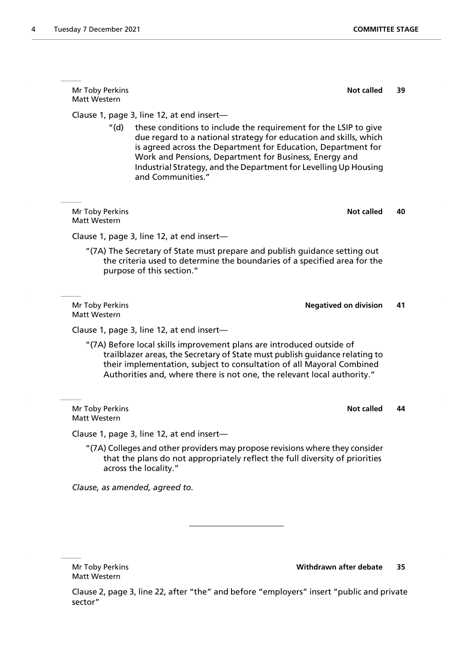Mr Toby Perkins **Not called** 39 Matt Western Clause 1, page 3, line 12, at end insert— "(d) these conditions to include the requirement for the LSIP to give due regard to a national strategy for education and skills, which is agreed across the Department for Education, Department for Work and Pensions, Department for Business, Energy and Industrial Strategy, and the Department for Levelling Up Housing and Communities." **Mr Toby Perkins <b>Not called** 40 Matt Western Clause 1, page 3, line 12, at end insert— "(7A) The Secretary of State must prepare and publish guidance setting out the criteria used to determine the boundaries of a specified area for the purpose of this section." Mr Toby Perkins **Negatived on division 41** Matt Western Clause 1, page 3, line 12, at end insert— "(7A) Before local skills improvement plans are introduced outside of trailblazer areas, the Secretary of State must publish guidance relating to their implementation, subject to consultation of all Mayoral Combined Authorities and, where there is not one, the relevant local authority." **Mr Toby Perkins <b>Not called** 44 Matt Western

Clause 1, page 3, line 12, at end insert—

"(7A) Colleges and other providers may propose revisions where they consider that the plans do not appropriately reflect the full diversity of priorities across the locality."

*Clause, as amended, agreed to.*

Matt Western

Mr Toby Perkins **Withdrawn after debate 35**

Clause 2, page 3, line 22, after "the" and before "employers" insert "public and private sector"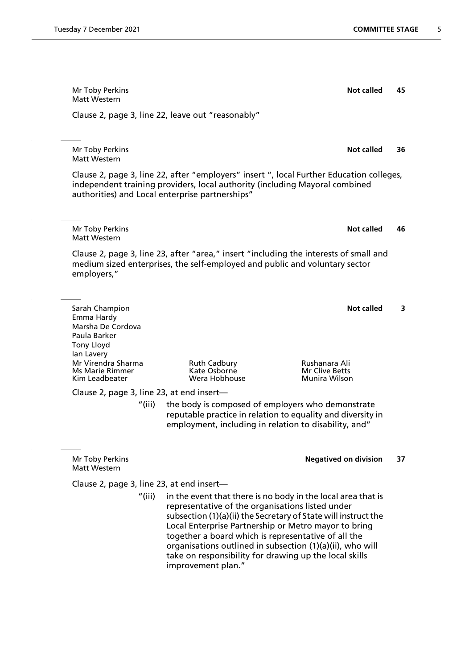Mr Toby Perkins **Not called** 45 Matt Western Clause 2, page 3, line 22, leave out "reasonably" Mr Toby Perkins **Not called** 36 Matt Western Clause 2, page 3, line 22, after "employers" insert ", local Further Education colleges, independent training providers, local authority (including Mayoral combined authorities) and Local enterprise partnerships" Mr Toby Perkins **Not called** 46 Matt Western Clause 2, page 3, line 23, after "area," insert "including the interests of small and medium sized enterprises, the self-employed and public and voluntary sector employers," **Sarah Champion Not called** 3 Emma Hardy Marsha De Cordova Paula Barker Tony Lloyd Ian Lavery Mr Virendra Sharma Ruth Cadbury Rushanara Ali Ms Marie Rimmer Kate Osborne<br>1991 - Kim Leadbeater Mar Corea Hobhouse **Munira Wilson** Clause 2, page 3, line 23, at end insert— "(iii) the body is composed of employers who demonstrate reputable practice in relation to equality and diversity in employment, including in relation to disability, and" Mr Toby Perkins **Negatived on division 37** Matt Western Clause 2, page 3, line 23, at end insert— "(iii) in the event that there is no body in the local area that is representative of the organisations listed under subsection (1)(a)(ii) the Secretary of State will instruct the Local Enterprise Partnership or Metro mayor to bring

together a board which is representative of all the organisations outlined in subsection (1)(a)(ii), who will take on responsibility for drawing up the local skills improvement plan."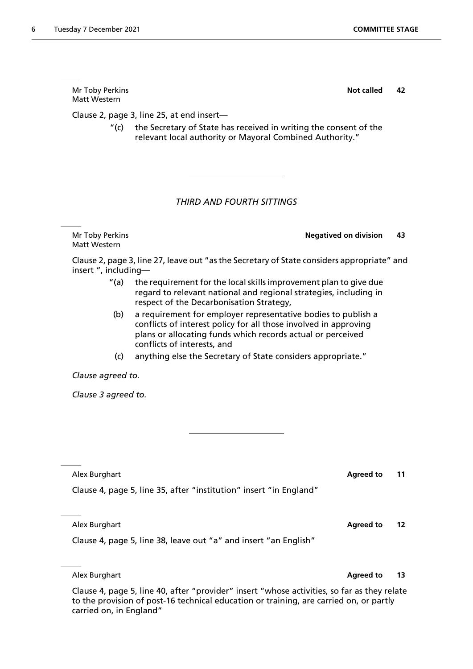| (c)                                                                                         | anything else the Secretary of State considers appropriate."       |    |  |
|---------------------------------------------------------------------------------------------|--------------------------------------------------------------------|----|--|
| Clause agreed to.                                                                           |                                                                    |    |  |
| Clause 3 agreed to.                                                                         |                                                                    |    |  |
|                                                                                             |                                                                    |    |  |
|                                                                                             |                                                                    |    |  |
|                                                                                             |                                                                    |    |  |
| Alex Burghart                                                                               | <b>Agreed to</b>                                                   | 11 |  |
|                                                                                             | Clause 4, page 5, line 35, after "institution" insert "in England" |    |  |
|                                                                                             |                                                                    |    |  |
| Alex Burghart                                                                               | <b>Agreed to</b>                                                   | 12 |  |
|                                                                                             | Clause 4, page 5, line 38, leave out "a" and insert "an English"   |    |  |
|                                                                                             |                                                                    |    |  |
| Alex Burghart                                                                               | <b>Agreed to</b>                                                   | 13 |  |
| Clause 4, page 5, line 40, after "provider" insert "whose activities, so far as they relate |                                                                    |    |  |

Clause 2, page 3, line 27, leave out "as the Secretary of State considers appropriate" and insert ", including—

Mr Toby Perkins **Negatived on division 43**

- "(a) the requirement for the local skills improvement plan to give due regard to relevant national and regional strategies, including in respect of the Decarbonisation Strategy,
- (b) a requirement for employer representative bodies to publish a conflicts of interest policy for all those involved in approving plans or allocating funds which records actual or perceived conflicts of interests, and

Mr Toby Perkins **Not called** 2 Matt Western

Matt Western

Clause 2, page 3, line 25, at end insert—

"(c) the Secretary of State has received in writing the consent of the relevant local authority or Mayoral Combined Authority."

# *THIRD AND FOURTH SITTINGS*

to the provision of post-16 technical education or training, are carried on, or partly carried on, in England"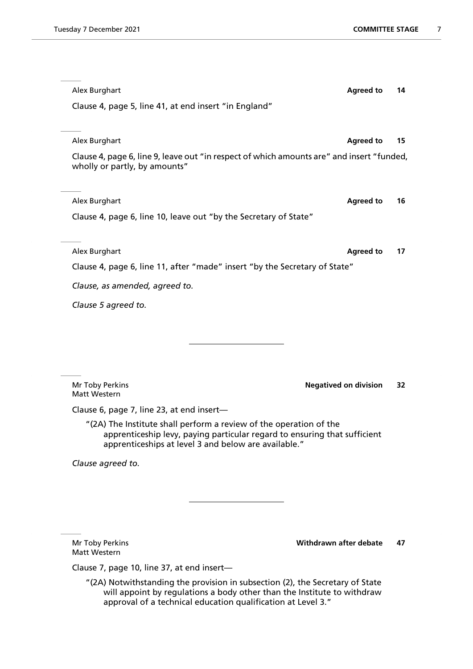| Alex Burghart                                                                                                                                                                                                            | <b>Agreed to</b>             | 14 |
|--------------------------------------------------------------------------------------------------------------------------------------------------------------------------------------------------------------------------|------------------------------|----|
| Clause 4, page 5, line 41, at end insert "in England"                                                                                                                                                                    |                              |    |
|                                                                                                                                                                                                                          |                              |    |
| Alex Burghart                                                                                                                                                                                                            | <b>Agreed to</b>             | 15 |
| Clause 4, page 6, line 9, leave out "in respect of which amounts are" and insert "funded,<br>wholly or partly, by amounts"                                                                                               |                              |    |
| Alex Burghart                                                                                                                                                                                                            | <b>Agreed to</b>             | 16 |
| Clause 4, page 6, line 10, leave out "by the Secretary of State"                                                                                                                                                         |                              |    |
|                                                                                                                                                                                                                          |                              |    |
| Alex Burghart                                                                                                                                                                                                            | <b>Agreed to</b>             | 17 |
| Clause 4, page 6, line 11, after "made" insert "by the Secretary of State"                                                                                                                                               |                              |    |
| Clause, as amended, agreed to.                                                                                                                                                                                           |                              |    |
| Clause 5 agreed to.                                                                                                                                                                                                      |                              |    |
|                                                                                                                                                                                                                          |                              |    |
|                                                                                                                                                                                                                          |                              |    |
|                                                                                                                                                                                                                          |                              |    |
|                                                                                                                                                                                                                          |                              |    |
| Mr Toby Perkins<br>Matt Western                                                                                                                                                                                          | <b>Negatived on division</b> | 32 |
| Clause 6, page 7, line 23, at end insert-                                                                                                                                                                                |                              |    |
| "(2A) The Institute shall perform a review of the operation of the<br>apprenticeship levy, paying particular regard to ensuring that sufficient<br>apprenticeships at level 3 and below are available."                  |                              |    |
| Clause agreed to.                                                                                                                                                                                                        |                              |    |
|                                                                                                                                                                                                                          |                              |    |
|                                                                                                                                                                                                                          |                              |    |
|                                                                                                                                                                                                                          |                              |    |
|                                                                                                                                                                                                                          |                              |    |
| Mr Toby Perkins<br><b>Matt Western</b>                                                                                                                                                                                   | Withdrawn after debate       | 47 |
| Clause 7, page 10, line 37, at end insert-                                                                                                                                                                               |                              |    |
| "(2A) Notwithstanding the provision in subsection (2), the Secretary of State<br>will appoint by regulations a body other than the Institute to withdraw<br>approval of a technical education qualification at Level 3." |                              |    |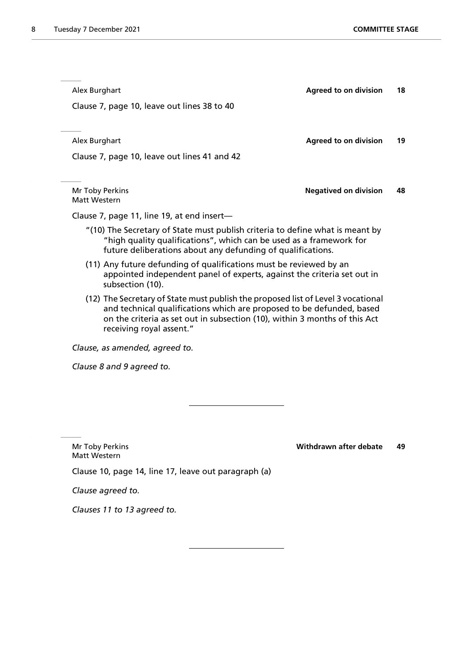| Alex Burghart                                                                                                                                                                                                                                                       | <b>Agreed to on division</b> | 18 |
|---------------------------------------------------------------------------------------------------------------------------------------------------------------------------------------------------------------------------------------------------------------------|------------------------------|----|
| Clause 7, page 10, leave out lines 38 to 40                                                                                                                                                                                                                         |                              |    |
|                                                                                                                                                                                                                                                                     |                              |    |
| Alex Burghart                                                                                                                                                                                                                                                       | <b>Agreed to on division</b> | 19 |
| Clause 7, page 10, leave out lines 41 and 42                                                                                                                                                                                                                        |                              |    |
|                                                                                                                                                                                                                                                                     |                              |    |
| Mr Toby Perkins<br><b>Matt Western</b>                                                                                                                                                                                                                              | <b>Negatived on division</b> | 48 |
| Clause 7, page 11, line 19, at end insert-                                                                                                                                                                                                                          |                              |    |
| "(10) The Secretary of State must publish criteria to define what is meant by<br>"high quality qualifications", which can be used as a framework for<br>future deliberations about any defunding of qualifications.                                                 |                              |    |
| (11) Any future defunding of qualifications must be reviewed by an<br>appointed independent panel of experts, against the criteria set out in<br>subsection (10).                                                                                                   |                              |    |
| (12) The Secretary of State must publish the proposed list of Level 3 vocational<br>and technical qualifications which are proposed to be defunded, based<br>on the criteria as set out in subsection (10), within 3 months of this Act<br>receiving royal assent." |                              |    |
| Clause, as amended, agreed to.                                                                                                                                                                                                                                      |                              |    |
| Clause 8 and 9 agreed to.                                                                                                                                                                                                                                           |                              |    |

Matt Western

Mr Toby Perkins **Withdrawn after debate 49**

Clause 10, page 14, line 17, leave out paragraph (a)

*Clause agreed to.*

*Clauses 11 to 13 agreed to.*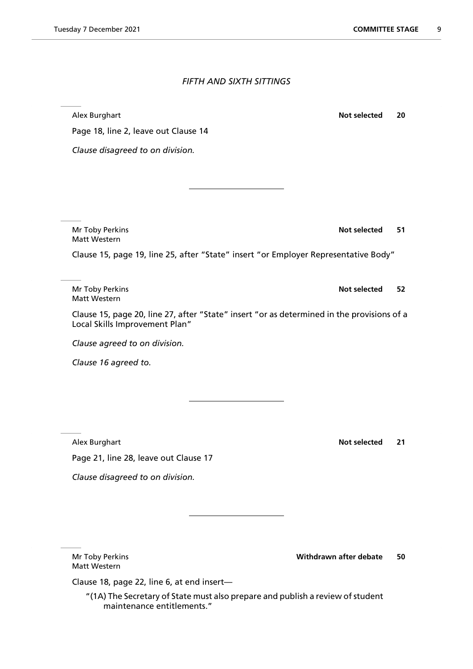### *FIFTH AND SIXTH SITTINGS*

Alex Burghart **Not selected 20**

Page 18, line 2, leave out Clause 14

*Clause disagreed to on division.*

Mr Toby Perkins **Not selected** 51 Matt Western

Clause 15, page 19, line 25, after "State" insert "or Employer Representative Body"

Mr Toby Perkins **Not selected 52** Matt Western

Clause 15, page 20, line 27, after "State" insert "or as determined in the provisions of a Local Skills Improvement Plan"

*Clause agreed to on division.*

*Clause 16 agreed to.*

Alex Burghart **Not selected** 21

Page 21, line 28, leave out Clause 17

*Clause disagreed to on division.*

Matt Western

Mr Toby Perkins **Withdrawn after debate 50**

Clause 18, page 22, line 6, at end insert—

"(1A) The Secretary of State must also prepare and publish a review of student maintenance entitlements."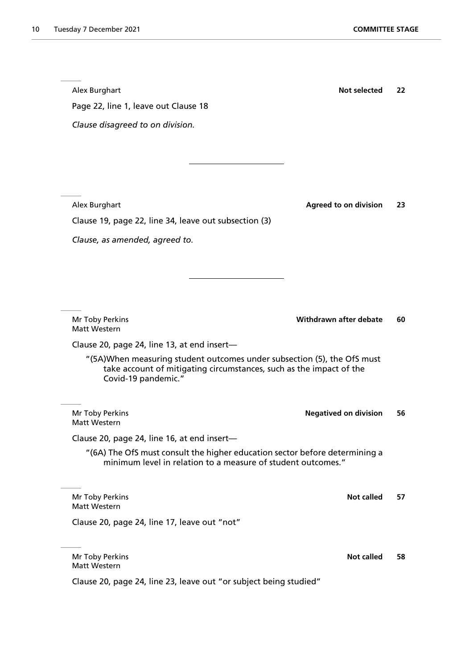| Page 22, line 1, leave out Clause 18                                                                                                                                  |                              |    |
|-----------------------------------------------------------------------------------------------------------------------------------------------------------------------|------------------------------|----|
| Clause disagreed to on division.                                                                                                                                      |                              |    |
|                                                                                                                                                                       |                              |    |
|                                                                                                                                                                       |                              |    |
|                                                                                                                                                                       |                              |    |
| Alex Burghart                                                                                                                                                         | <b>Agreed to on division</b> | 23 |
| Clause 19, page 22, line 34, leave out subsection (3)                                                                                                                 |                              |    |
| Clause, as amended, agreed to.                                                                                                                                        |                              |    |
|                                                                                                                                                                       |                              |    |
|                                                                                                                                                                       |                              |    |
|                                                                                                                                                                       |                              |    |
| Mr Toby Perkins<br>Matt Western                                                                                                                                       | Withdrawn after debate       | 60 |
| Clause 20, page 24, line 13, at end insert-                                                                                                                           |                              |    |
| "(5A)When measuring student outcomes under subsection (5), the OfS must<br>take account of mitigating circumstances, such as the impact of the<br>Covid-19 pandemic." |                              |    |
| Mr Toby Perkins<br>Matt Western                                                                                                                                       | <b>Negatived on division</b> | 56 |
| Clause 20, page 24, line 16, at end insert-                                                                                                                           |                              |    |
| "(6A) The OfS must consult the higher education sector before determining a<br>minimum level in relation to a measure of student outcomes."                           |                              |    |
| Mr Toby Perkins<br>Matt Western                                                                                                                                       | <b>Not called</b>            | 57 |
| Clause 20, page 24, line 17, leave out "not"                                                                                                                          |                              |    |
| Mr Toby Perkins                                                                                                                                                       | <b>Not called</b>            | 58 |
| Matt Western                                                                                                                                                          |                              |    |
| Clause 20, page 24, line 23, leave out "or subject being studied"                                                                                                     |                              |    |

Alex Burghart **Not selected** 22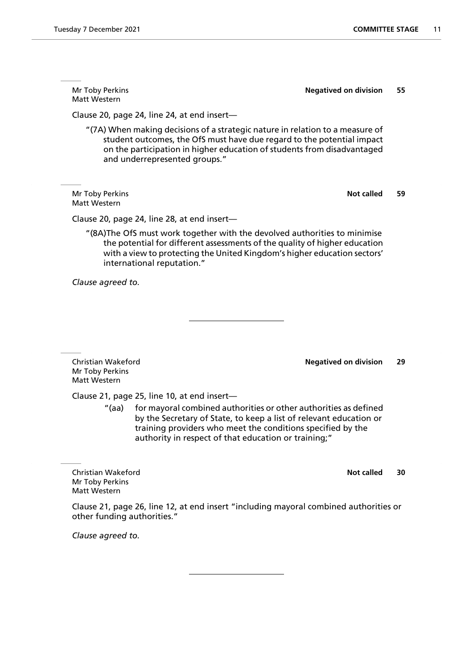Matt Western

Mr Toby Perkins **Negatived on division 55**

Clause 20, page 24, line 24, at end insert—

"(7A) When making decisions of a strategic nature in relation to a measure of student outcomes, the OfS must have due regard to the potential impact on the participation in higher education of students from disadvantaged and underrepresented groups."

Mr Toby Perkins **Not called** 59 Matt Western

Clause 20, page 24, line 28, at end insert—

"(8A)The OfS must work together with the devolved authorities to minimise the potential for different assessments of the quality of higher education with a view to protecting the United Kingdom's higher education sectors' international reputation."

*Clause agreed to.*

Christian Wakeford **Negatived on division 29** Mr Toby Perkins Matt Western

Clause 21, page 25, line 10, at end insert—

"(aa) for mayoral combined authorities or other authorities as defined by the Secretary of State, to keep a list of relevant education or training providers who meet the conditions specified by the authority in respect of that education or training;"

Christian Wakeford **Not called 30** Mr Toby Perkins Matt Western

Clause 21, page 26, line 12, at end insert "including mayoral combined authorities or other funding authorities."

*Clause agreed to.*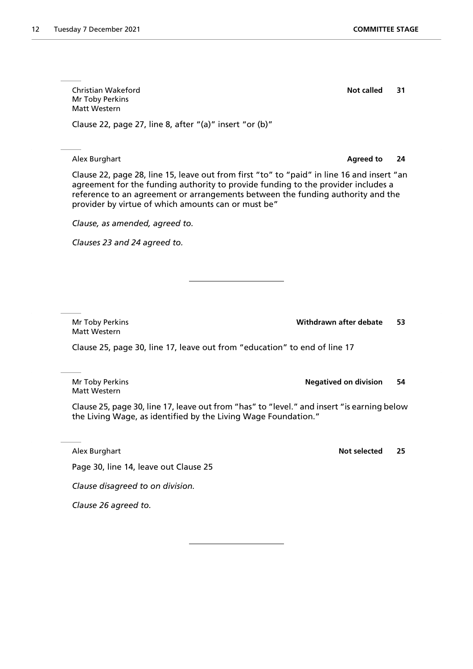Christian Wakeford **Not called 31** Mr Toby Perkins Matt Western

Clause 22, page 27, line 8, after "(a)" insert "or (b)"

Alex Burghart **Agreed to 24**

Clause 22, page 28, line 15, leave out from first "to" to "paid" in line 16 and insert "an agreement for the funding authority to provide funding to the provider includes a reference to an agreement or arrangements between the funding authority and the provider by virtue of which amounts can or must be"

*Clause, as amended, agreed to.*

*Clauses 23 and 24 agreed to.*

Matt Western

Mr Toby Perkins **Withdrawn after debate 53**

Clause 25, page 30, line 17, leave out from "education" to end of line 17

Mr Toby Perkins **Negatived on division** 54 Matt Western

Clause 25, page 30, line 17, leave out from "has" to "level." and insert "is earning below the Living Wage, as identified by the Living Wage Foundation."

Page 30, line 14, leave out Clause 25

*Clause disagreed to on division.*

*Clause 26 agreed to.*

Alex Burghart **Not selected** 25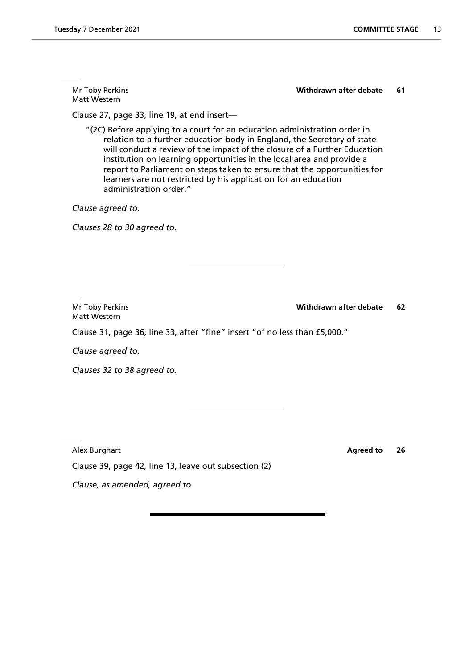Mr Toby Perkins **Withdrawn after debate 61** Matt Western Clause 27, page 33, line 19, at end insert— "(2C) Before applying to a court for an education administration order in relation to a further education body in England, the Secretary of state will conduct a review of the impact of the closure of a Further Education institution on learning opportunities in the local area and provide a report to Parliament on steps taken to ensure that the opportunities for learners are not restricted by his application for an education administration order." *Clause agreed to. Clauses 28 to 30 agreed to.* Mr Toby Perkins **Withdrawn after debate 62** Matt Western Clause 31, page 36, line 33, after "fine" insert "of no less than £5,000." *Clause agreed to. Clauses 32 to 38 agreed to.*

Clause 39, page 42, line 13, leave out subsection (2)

*Clause, as amended, agreed to.*

Alex Burghart **Agreed to 26**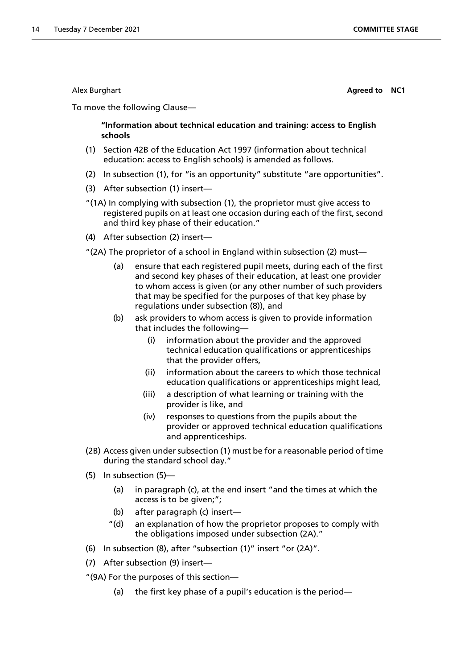Alex Burghart **Agreed to NC1**

To move the following Clause—

**"Information about technical education and training: access to English schools**

- (1) Section 42B of the Education Act 1997 (information about technical education: access to English schools) is amended as follows.
- (2) In subsection (1), for "is an opportunity" substitute "are opportunities".
- (3) After subsection (1) insert—
- "(1A) In complying with subsection (1), the proprietor must give access to registered pupils on at least one occasion during each of the first, second and third key phase of their education."
- (4) After subsection (2) insert—
- "(2A) The proprietor of a school in England within subsection (2) must—
	- (a) ensure that each registered pupil meets, during each of the first and second key phases of their education, at least one provider to whom access is given (or any other number of such providers that may be specified for the purposes of that key phase by regulations under subsection (8)), and
	- (b) ask providers to whom access is given to provide information that includes the following—
		- (i) information about the provider and the approved technical education qualifications or apprenticeships that the provider offers,
		- (ii) information about the careers to which those technical education qualifications or apprenticeships might lead,
		- (iii) a description of what learning or training with the provider is like, and
		- (iv) responses to questions from the pupils about the provider or approved technical education qualifications and apprenticeships.
- (2B) Access given under subsection (1) must be for a reasonable period of time during the standard school day."
- (5) In subsection (5)—
	- (a) in paragraph (c), at the end insert "and the times at which the access is to be given;";
	- (b) after paragraph (c) insert—
	- "(d) an explanation of how the proprietor proposes to comply with the obligations imposed under subsection (2A)."
- (6) In subsection (8), after "subsection (1)" insert "or (2A)".
- (7) After subsection (9) insert—
- "(9A) For the purposes of this section—
	- (a) the first key phase of a pupil's education is the period—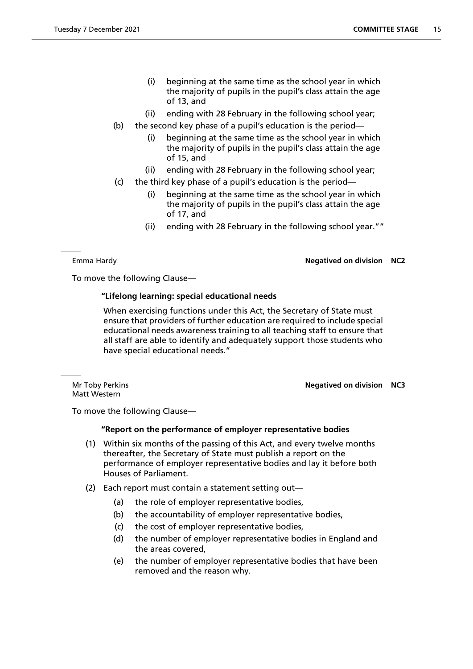- (i) beginning at the same time as the school year in which the majority of pupils in the pupil's class attain the age of 13, and
- (ii) ending with 28 February in the following school year;
- (b) the second key phase of a pupil's education is the period
	- beginning at the same time as the school year in which the majority of pupils in the pupil's class attain the age of 15, and
	- (ii) ending with 28 February in the following school year;
- (c) the third key phase of a pupil's education is the period—
	- (i) beginning at the same time as the school year in which the majority of pupils in the pupil's class attain the age of 17, and
	- (ii) ending with 28 February in the following school year.""

#### Emma Hardy **Negatived on division NC2**

To move the following Clause—

#### **"Lifelong learning: special educational needs**

 When exercising functions under this Act, the Secretary of State must ensure that providers of further education are required to include special educational needs awareness training to all teaching staff to ensure that all staff are able to identify and adequately support those students who have special educational needs."

Matt Western

Mr Toby Perkins **Negatived on division NC3**

To move the following Clause—

#### **"Report on the performance of employer representative bodies**

- (1) Within six months of the passing of this Act, and every twelve months thereafter, the Secretary of State must publish a report on the performance of employer representative bodies and lay it before both Houses of Parliament.
- (2) Each report must contain a statement setting out—
	- (a) the role of employer representative bodies,
	- (b) the accountability of employer representative bodies,
	- (c) the cost of employer representative bodies,
	- (d) the number of employer representative bodies in England and the areas covered,
	- (e) the number of employer representative bodies that have been removed and the reason why.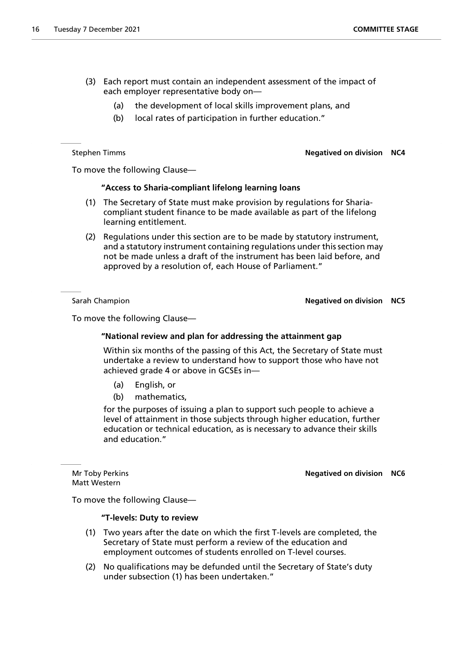- (3) Each report must contain an independent assessment of the impact of each employer representative body on—
	- (a) the development of local skills improvement plans, and
	- (b) local rates of participation in further education."

Stephen Timms **Negatived on division NC4**

To move the following Clause—

#### **"Access to Sharia-compliant lifelong learning loans**

- (1) The Secretary of State must make provision by regulations for Shariacompliant student finance to be made available as part of the lifelong learning entitlement.
- (2) Regulations under this section are to be made by statutory instrument, and a statutory instrument containing regulations under this section may not be made unless a draft of the instrument has been laid before, and approved by a resolution of, each House of Parliament."

#### Sarah Champion **Negatived on division NC5**

To move the following Clause—

#### **"National review and plan for addressing the attainment gap**

 Within six months of the passing of this Act, the Secretary of State must undertake a review to understand how to support those who have not achieved grade 4 or above in GCSEs in—

- (a) English, or
- (b) mathematics,

for the purposes of issuing a plan to support such people to achieve a level of attainment in those subjects through higher education, further education or technical education, as is necessary to advance their skills and education."

Matt Western

#### Mr Toby Perkins **Negatived on division NC6**

To move the following Clause—

#### **"T-levels: Duty to review**

- (1) Two years after the date on which the first T-levels are completed, the Secretary of State must perform a review of the education and employment outcomes of students enrolled on T-level courses.
- (2) No qualifications may be defunded until the Secretary of State's duty under subsection (1) has been undertaken."